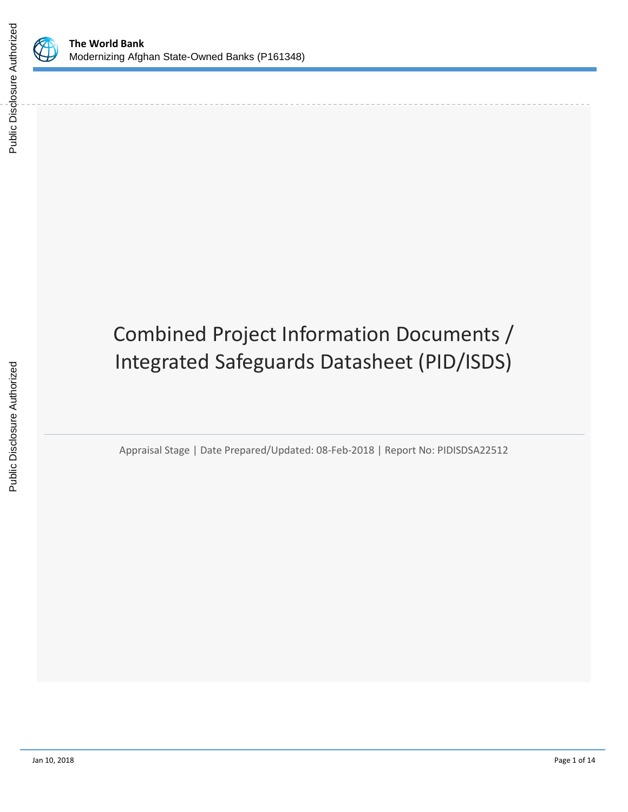

Public Disclosure Authorized

# Combined Project Information Documents / Integrated Safeguards Datasheet (PID/ISDS)

Appraisal Stage | Date Prepared/Updated: 08-Feb-2018 | Report No: PIDISDSA22512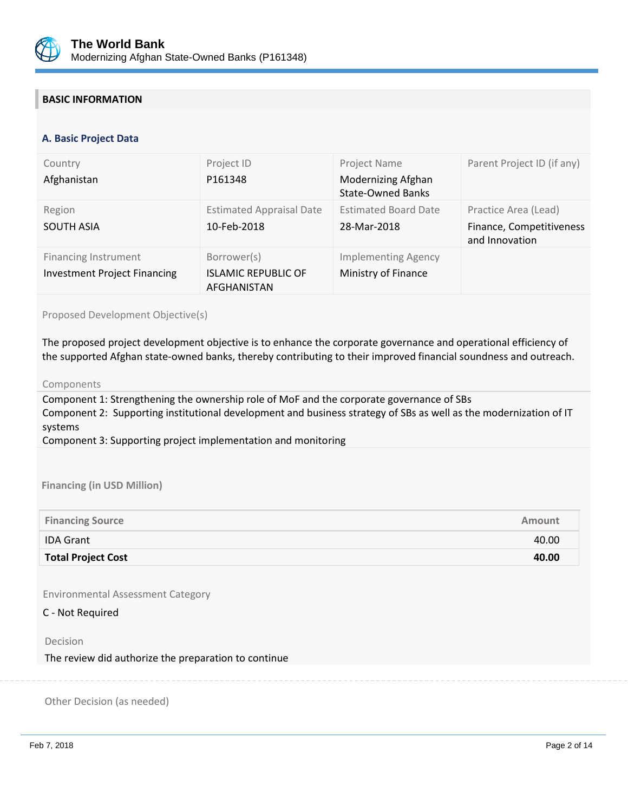

## **BASIC INFORMATION**

#### **OPS\_TABLE\_BASIC\_DATA A. Basic Project Data**

| Country<br>Afghanistan                                             | Project ID<br>P161348                                    | Project Name<br>Modernizing Afghan<br><b>State-Owned Banks</b> | Parent Project ID (if any)                                         |
|--------------------------------------------------------------------|----------------------------------------------------------|----------------------------------------------------------------|--------------------------------------------------------------------|
| Region<br><b>SOUTH ASIA</b>                                        | <b>Estimated Appraisal Date</b><br>10-Feb-2018           | <b>Estimated Board Date</b><br>28-Mar-2018                     | Practice Area (Lead)<br>Finance, Competitiveness<br>and Innovation |
| <b>Financing Instrument</b><br><b>Investment Project Financing</b> | Borrower(s)<br><b>ISLAMIC REPUBLIC OF</b><br>AFGHANISTAN | <b>Implementing Agency</b><br>Ministry of Finance              |                                                                    |

Proposed Development Objective(s)

The proposed project development objective is to enhance the corporate governance and operational efficiency of the supported Afghan state-owned banks, thereby contributing to their improved financial soundness and outreach.

#### Components

Component 1: Strengthening the ownership role of MoF and the corporate governance of SBs Component 2: Supporting institutional development and business strategy of SBs as well as the modernization of IT systems

Component 3: Supporting project implementation and monitoring

#### **Financing (in USD Million)**

| <b>Financing Source</b>   | Amount |
|---------------------------|--------|
| <b>IDA Grant</b>          | 40.00  |
| <b>Total Project Cost</b> | 40.00  |

Environmental Assessment Category

C - Not Required

Decision

The review did authorize the preparation to continue

Other Decision (as needed)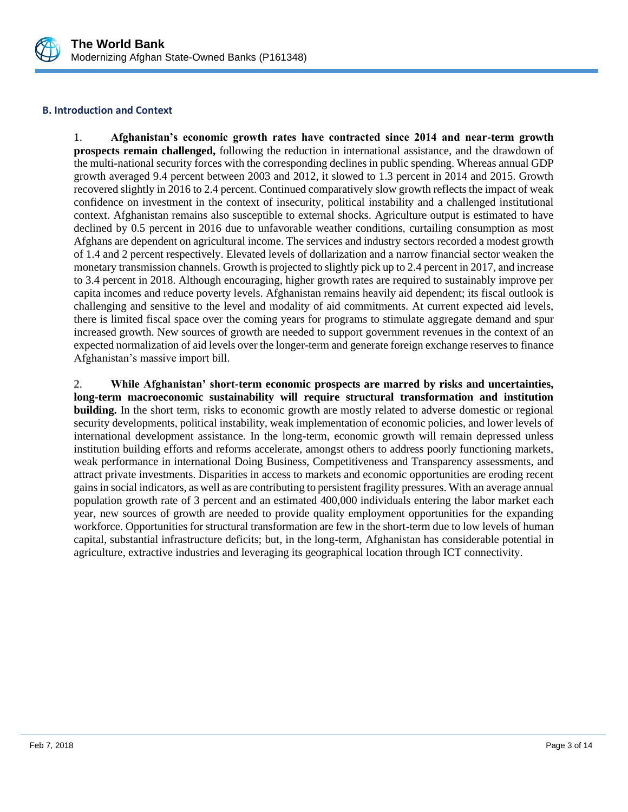

### **B. Introduction and Context**

1. **Afghanistan's economic growth rates have contracted since 2014 and near-term growth prospects remain challenged,** following the reduction in international assistance, and the drawdown of the multi-national security forces with the corresponding declines in public spending. Whereas annual GDP growth averaged 9.4 percent between 2003 and 2012, it slowed to 1.3 percent in 2014 and 2015. Growth recovered slightly in 2016 to 2.4 percent. Continued comparatively slow growth reflects the impact of weak confidence on investment in the context of insecurity, political instability and a challenged institutional context. Afghanistan remains also susceptible to external shocks. Agriculture output is estimated to have declined by 0.5 percent in 2016 due to unfavorable weather conditions, curtailing consumption as most Afghans are dependent on agricultural income. The services and industry sectors recorded a modest growth of 1.4 and 2 percent respectively. Elevated levels of dollarization and a narrow financial sector weaken the monetary transmission channels. Growth is projected to slightly pick up to 2.4 percent in 2017, and increase to 3.4 percent in 2018. Although encouraging, higher growth rates are required to sustainably improve per capita incomes and reduce poverty levels. Afghanistan remains heavily aid dependent; its fiscal outlook is challenging and sensitive to the level and modality of aid commitments. At current expected aid levels, there is limited fiscal space over the coming years for programs to stimulate aggregate demand and spur increased growth. New sources of growth are needed to support government revenues in the context of an expected normalization of aid levels over the longer-term and generate foreign exchange reserves to finance Afghanistan's massive import bill.

2. **While Afghanistan' short-term economic prospects are marred by risks and uncertainties, long-term macroeconomic sustainability will require structural transformation and institution building.** In the short term, risks to economic growth are mostly related to adverse domestic or regional security developments, political instability, weak implementation of economic policies, and lower levels of international development assistance. In the long-term, economic growth will remain depressed unless institution building efforts and reforms accelerate, amongst others to address poorly functioning markets, weak performance in international Doing Business, Competitiveness and Transparency assessments, and attract private investments. Disparities in access to markets and economic opportunities are eroding recent gains in social indicators, as well as are contributing to persistent fragility pressures. With an average annual population growth rate of 3 percent and an estimated 400,000 individuals entering the labor market each year, new sources of growth are needed to provide quality employment opportunities for the expanding workforce. Opportunities for structural transformation are few in the short-term due to low levels of human capital, substantial infrastructure deficits; but, in the long-term, Afghanistan has considerable potential in agriculture, extractive industries and leveraging its geographical location through ICT connectivity.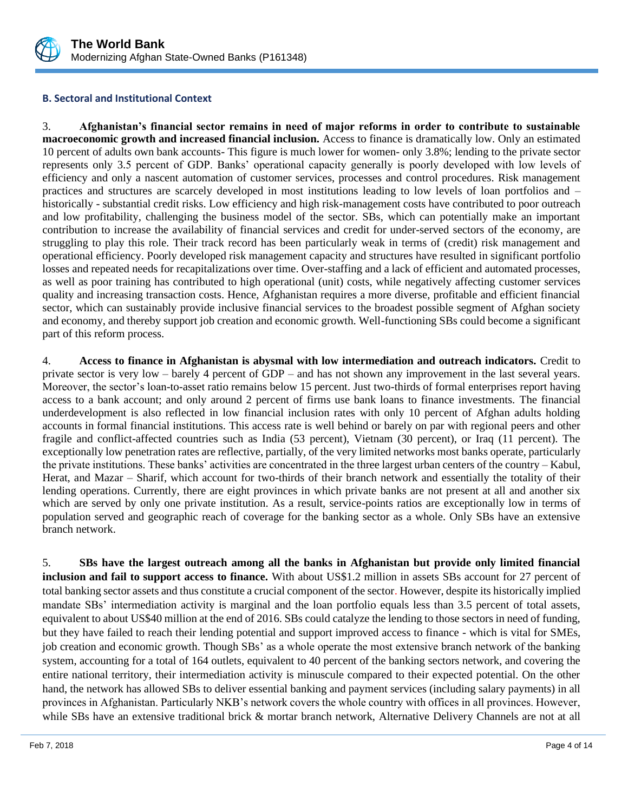

## **B. Sectoral and Institutional Context**

3. **Afghanistan's financial sector remains in need of major reforms in order to contribute to sustainable macroeconomic growth and increased financial inclusion.** Access to finance is dramatically low. Only an estimated 10 percent of adults own bank accounts- This figure is much lower for women- only 3.8%; lending to the private sector represents only 3.5 percent of GDP. Banks' operational capacity generally is poorly developed with low levels of efficiency and only a nascent automation of customer services, processes and control procedures. Risk management practices and structures are scarcely developed in most institutions leading to low levels of loan portfolios and – historically - substantial credit risks. Low efficiency and high risk-management costs have contributed to poor outreach and low profitability, challenging the business model of the sector. SBs, which can potentially make an important contribution to increase the availability of financial services and credit for under-served sectors of the economy, are struggling to play this role. Their track record has been particularly weak in terms of (credit) risk management and operational efficiency. Poorly developed risk management capacity and structures have resulted in significant portfolio losses and repeated needs for recapitalizations over time. Over-staffing and a lack of efficient and automated processes, as well as poor training has contributed to high operational (unit) costs, while negatively affecting customer services quality and increasing transaction costs. Hence, Afghanistan requires a more diverse, profitable and efficient financial sector, which can sustainably provide inclusive financial services to the broadest possible segment of Afghan society and economy, and thereby support job creation and economic growth. Well-functioning SBs could become a significant part of this reform process.

4. **Access to finance in Afghanistan is abysmal with low intermediation and outreach indicators.** Credit to private sector is very low – barely 4 percent of GDP – and has not shown any improvement in the last several years. Moreover, the sector's loan-to-asset ratio remains below 15 percent. Just two-thirds of formal enterprises report having access to a bank account; and only around 2 percent of firms use bank loans to finance investments. The financial underdevelopment is also reflected in low financial inclusion rates with only 10 percent of Afghan adults holding accounts in formal financial institutions. This access rate is well behind or barely on par with regional peers and other fragile and conflict-affected countries such as India (53 percent), Vietnam (30 percent), or Iraq (11 percent). The exceptionally low penetration rates are reflective, partially, of the very limited networks most banks operate, particularly the private institutions. These banks' activities are concentrated in the three largest urban centers of the country – Kabul, Herat, and Mazar – Sharif, which account for two-thirds of their branch network and essentially the totality of their lending operations. Currently, there are eight provinces in which private banks are not present at all and another six which are served by only one private institution. As a result, service-points ratios are exceptionally low in terms of population served and geographic reach of coverage for the banking sector as a whole. Only SBs have an extensive branch network.

5. **SBs have the largest outreach among all the banks in Afghanistan but provide only limited financial inclusion and fail to support access to finance.** With about US\$1.2 million in assets SBs account for 27 percent of total banking sector assets and thus constitute a crucial component of the sector. However, despite its historically implied mandate SBs' intermediation activity is marginal and the loan portfolio equals less than 3.5 percent of total assets, equivalent to about US\$40 million at the end of 2016. SBs could catalyze the lending to those sectors in need of funding, but they have failed to reach their lending potential and support improved access to finance - which is vital for SMEs, job creation and economic growth. Though SBs' as a whole operate the most extensive branch network of the banking system, accounting for a total of 164 outlets, equivalent to 40 percent of the banking sectors network, and covering the entire national territory, their intermediation activity is minuscule compared to their expected potential. On the other hand, the network has allowed SBs to deliver essential banking and payment services (including salary payments) in all provinces in Afghanistan. Particularly NKB's network covers the whole country with offices in all provinces. However, while SBs have an extensive traditional brick & mortar branch network, Alternative Delivery Channels are not at all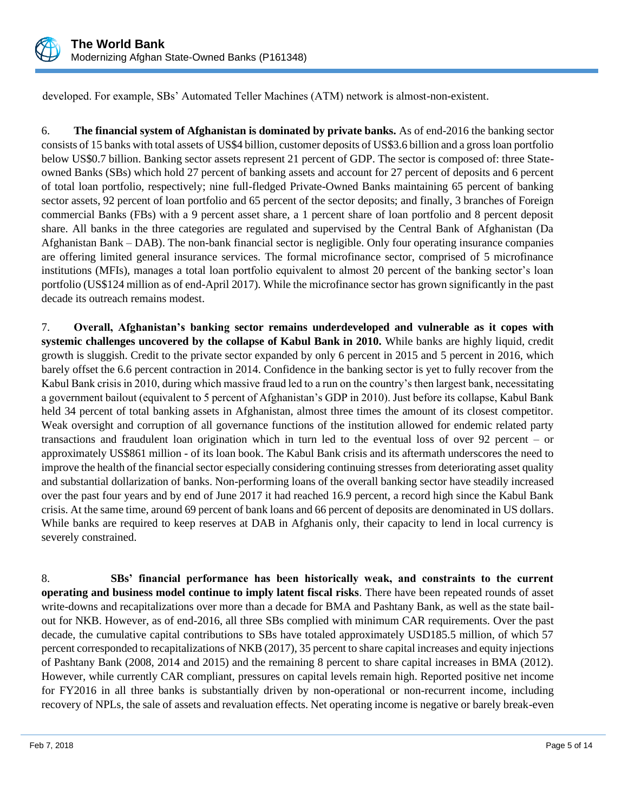

developed. For example, SBs' Automated Teller Machines (ATM) network is almost-non-existent.

6. **The financial system of Afghanistan is dominated by private banks.** As of end-2016 the banking sector consists of 15 banks with total assets of US\$4 billion, customer deposits of US\$3.6 billion and a gross loan portfolio below US\$0.7 billion. Banking sector assets represent 21 percent of GDP. The sector is composed of: three Stateowned Banks (SBs) which hold 27 percent of banking assets and account for 27 percent of deposits and 6 percent of total loan portfolio, respectively; nine full-fledged Private-Owned Banks maintaining 65 percent of banking sector assets, 92 percent of loan portfolio and 65 percent of the sector deposits; and finally, 3 branches of Foreign commercial Banks (FBs) with a 9 percent asset share, a 1 percent share of loan portfolio and 8 percent deposit share. All banks in the three categories are regulated and supervised by the Central Bank of Afghanistan (Da Afghanistan Bank – DAB). The non-bank financial sector is negligible. Only four operating insurance companies are offering limited general insurance services. The formal microfinance sector, comprised of 5 microfinance institutions (MFIs), manages a total loan portfolio equivalent to almost 20 percent of the banking sector's loan portfolio (US\$124 million as of end-April 2017). While the microfinance sector has grown significantly in the past decade its outreach remains modest.

7. **Overall, Afghanistan's banking sector remains underdeveloped and vulnerable as it copes with systemic challenges uncovered by the collapse of Kabul Bank in 2010.** While banks are highly liquid, credit growth is sluggish. Credit to the private sector expanded by only 6 percent in 2015 and 5 percent in 2016, which barely offset the 6.6 percent contraction in 2014. Confidence in the banking sector is yet to fully recover from the Kabul Bank crisis in 2010, during which massive fraud led to a run on the country's then largest bank, necessitating a government bailout (equivalent to 5 percent of Afghanistan's GDP in 2010). Just before its collapse, Kabul Bank held 34 percent of total banking assets in Afghanistan, almost three times the amount of its closest competitor. Weak oversight and corruption of all governance functions of the institution allowed for endemic related party transactions and fraudulent loan origination which in turn led to the eventual loss of over 92 percent – or approximately US\$861 million - of its loan book. The Kabul Bank crisis and its aftermath underscores the need to improve the health of the financial sector especially considering continuing stresses from deteriorating asset quality and substantial dollarization of banks. Non-performing loans of the overall banking sector have steadily increased over the past four years and by end of June 2017 it had reached 16.9 percent, a record high since the Kabul Bank crisis. At the same time, around 69 percent of bank loans and 66 percent of deposits are denominated in US dollars. While banks are required to keep reserves at DAB in Afghanis only, their capacity to lend in local currency is severely constrained.

8. **SBs' financial performance has been historically weak, and constraints to the current operating and business model continue to imply latent fiscal risks**. There have been repeated rounds of asset write-downs and recapitalizations over more than a decade for BMA and Pashtany Bank, as well as the state bailout for NKB. However, as of end-2016, all three SBs complied with minimum CAR requirements. Over the past decade, the cumulative capital contributions to SBs have totaled approximately USD185.5 million, of which 57 percent corresponded to recapitalizations of NKB (2017), 35 percent to share capital increases and equity injections of Pashtany Bank (2008, 2014 and 2015) and the remaining 8 percent to share capital increases in BMA (2012). However, while currently CAR compliant, pressures on capital levels remain high. Reported positive net income for FY2016 in all three banks is substantially driven by non-operational or non-recurrent income, including recovery of NPLs, the sale of assets and revaluation effects. Net operating income is negative or barely break-even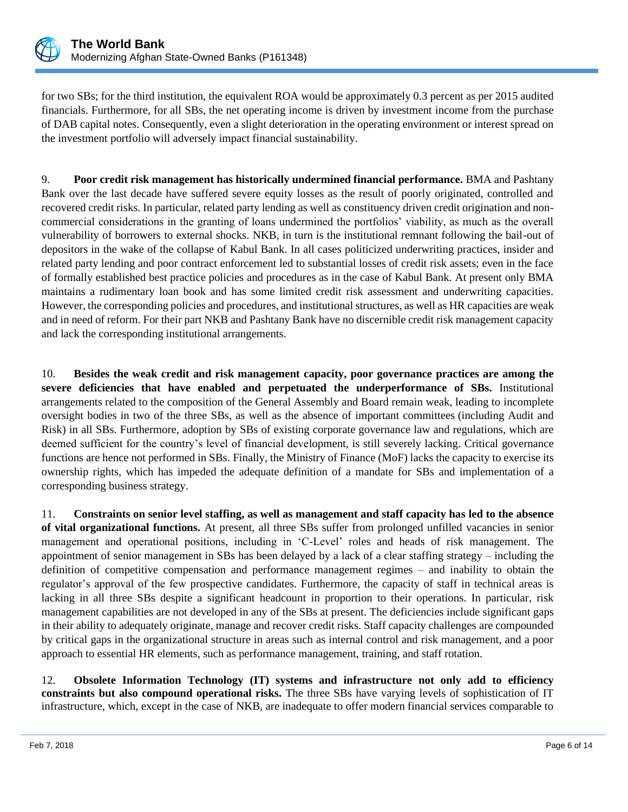

for two SBs; for the third institution, the equivalent ROA would be approximately 0.3 percent as per 2015 audited financials. Furthermore, for all SBs, the net operating income is driven by investment income from the purchase of DAB capital notes. Consequently, even a slight deterioration in the operating environment or interest spread on the investment portfolio will adversely impact financial sustainability.

9. **Poor credit risk management has historically undermined financial performance.** BMA and Pashtany Bank over the last decade have suffered severe equity losses as the result of poorly originated, controlled and recovered credit risks. In particular, related party lending as well as constituency driven credit origination and noncommercial considerations in the granting of loans undermined the portfolios' viability, as much as the overall vulnerability of borrowers to external shocks. NKB, in turn is the institutional remnant following the bail-out of depositors in the wake of the collapse of Kabul Bank. In all cases politicized underwriting practices, insider and related party lending and poor contract enforcement led to substantial losses of credit risk assets; even in the face of formally established best practice policies and procedures as in the case of Kabul Bank. At present only BMA maintains a rudimentary loan book and has some limited credit risk assessment and underwriting capacities. However, the corresponding policies and procedures, and institutional structures, as well as HR capacities are weak and in need of reform. For their part NKB and Pashtany Bank have no discernible credit risk management capacity and lack the corresponding institutional arrangements.

10. **Besides the weak credit and risk management capacity, poor governance practices are among the severe deficiencies that have enabled and perpetuated the underperformance of SBs.** Institutional arrangements related to the composition of the General Assembly and Board remain weak, leading to incomplete oversight bodies in two of the three SBs, as well as the absence of important committees (including Audit and Risk) in all SBs. Furthermore, adoption by SBs of existing corporate governance law and regulations, which are deemed sufficient for the country's level of financial development, is still severely lacking. Critical governance functions are hence not performed in SBs. Finally, the Ministry of Finance (MoF) lacks the capacity to exercise its ownership rights, which has impeded the adequate definition of a mandate for SBs and implementation of a corresponding business strategy.

11. **Constraints on senior level staffing, as well as management and staff capacity has led to the absence of vital organizational functions.** At present, all three SBs suffer from prolonged unfilled vacancies in senior management and operational positions, including in 'C-Level' roles and heads of risk management. The appointment of senior management in SBs has been delayed by a lack of a clear staffing strategy – including the definition of competitive compensation and performance management regimes – and inability to obtain the regulator's approval of the few prospective candidates. Furthermore, the capacity of staff in technical areas is lacking in all three SBs despite a significant headcount in proportion to their operations. In particular, risk management capabilities are not developed in any of the SBs at present. The deficiencies include significant gaps in their ability to adequately originate, manage and recover credit risks. Staff capacity challenges are compounded by critical gaps in the organizational structure in areas such as internal control and risk management, and a poor approach to essential HR elements, such as performance management, training, and staff rotation.

12. **Obsolete Information Technology (IT) systems and infrastructure not only add to efficiency constraints but also compound operational risks.** The three SBs have varying levels of sophistication of IT infrastructure, which, except in the case of NKB, are inadequate to offer modern financial services comparable to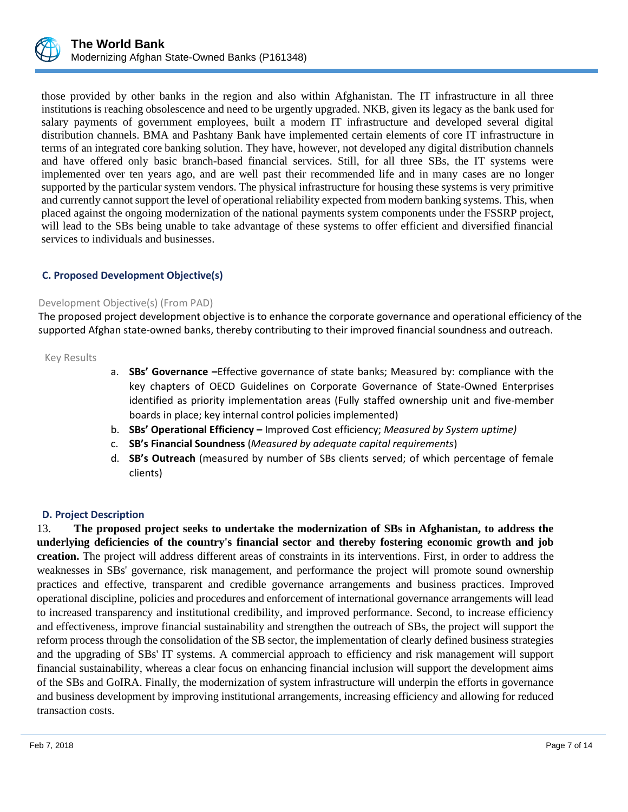

those provided by other banks in the region and also within Afghanistan. The IT infrastructure in all three institutions is reaching obsolescence and need to be urgently upgraded. NKB, given its legacy as the bank used for salary payments of government employees, built a modern IT infrastructure and developed several digital distribution channels. BMA and Pashtany Bank have implemented certain elements of core IT infrastructure in terms of an integrated core banking solution. They have, however, not developed any digital distribution channels and have offered only basic branch-based financial services. Still, for all three SBs, the IT systems were implemented over ten years ago, and are well past their recommended life and in many cases are no longer supported by the particular system vendors. The physical infrastructure for housing these systems is very primitive and currently cannot support the level of operational reliability expected from modern banking systems. This, when placed against the ongoing modernization of the national payments system components under the FSSRP project, will lead to the SBs being unable to take advantage of these systems to offer efficient and diversified financial services to individuals and businesses.

## **C. Proposed Development Objective(s)**

### Development Objective(s) (From PAD)

The proposed project development objective is to enhance the corporate governance and operational efficiency of the supported Afghan state-owned banks, thereby contributing to their improved financial soundness and outreach.

Key Results

- a. **SBs' Governance –**Effective governance of state banks; Measured by: compliance with the key chapters of OECD Guidelines on Corporate Governance of State-Owned Enterprises identified as priority implementation areas (Fully staffed ownership unit and five-member boards in place; key internal control policies implemented)
- b. **SBs' Operational Efficiency –** Improved Cost efficiency; *Measured by System uptime)*
- c. **SB's Financial Soundness** (*Measured by adequate capital requirements*)
- d. **SB's Outreach** (measured by number of SBs clients served; of which percentage of female clients)

#### **D. Project Description**

13. **The proposed project seeks to undertake the modernization of SBs in Afghanistan, to address the underlying deficiencies of the country's financial sector and thereby fostering economic growth and job creation.** The project will address different areas of constraints in its interventions. First, in order to address the weaknesses in SBs' governance, risk management, and performance the project will promote sound ownership practices and effective, transparent and credible governance arrangements and business practices. Improved operational discipline, policies and procedures and enforcement of international governance arrangements will lead to increased transparency and institutional credibility, and improved performance. Second, to increase efficiency and effectiveness, improve financial sustainability and strengthen the outreach of SBs, the project will support the reform process through the consolidation of the SB sector, the implementation of clearly defined business strategies and the upgrading of SBs' IT systems. A commercial approach to efficiency and risk management will support financial sustainability, whereas a clear focus on enhancing financial inclusion will support the development aims of the SBs and GoIRA. Finally, the modernization of system infrastructure will underpin the efforts in governance and business development by improving institutional arrangements, increasing efficiency and allowing for reduced transaction costs.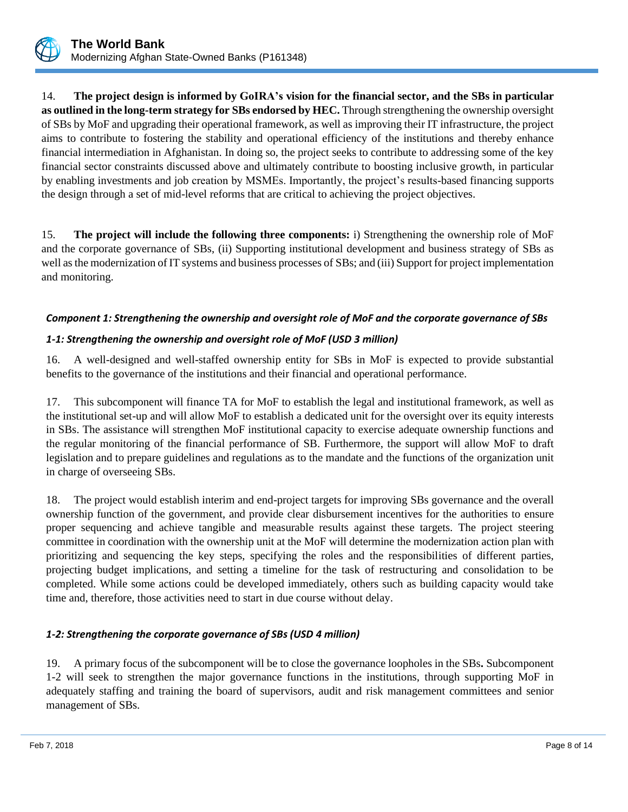

14. **The project design is informed by GoIRA's vision for the financial sector, and the SBs in particular as outlined in the long-term strategy for SBs endorsed by HEC.** Through strengthening the ownership oversight of SBs by MoF and upgrading their operational framework, as well as improving their IT infrastructure, the project aims to contribute to fostering the stability and operational efficiency of the institutions and thereby enhance financial intermediation in Afghanistan. In doing so, the project seeks to contribute to addressing some of the key financial sector constraints discussed above and ultimately contribute to boosting inclusive growth, in particular by enabling investments and job creation by MSMEs. Importantly, the project's results-based financing supports the design through a set of mid-level reforms that are critical to achieving the project objectives.

15. **The project will include the following three components:** i) Strengthening the ownership role of MoF and the corporate governance of SBs, (ii) Supporting institutional development and business strategy of SBs as well as the modernization of IT systems and business processes of SBs; and (iii) Support for project implementation and monitoring.

## *Component 1: Strengthening the ownership and oversight role of MoF and the corporate governance of SBs*

## *1-1: Strengthening the ownership and oversight role of MoF (USD 3 million)*

16. A well-designed and well-staffed ownership entity for SBs in MoF is expected to provide substantial benefits to the governance of the institutions and their financial and operational performance.

17. This subcomponent will finance TA for MoF to establish the legal and institutional framework, as well as the institutional set-up and will allow MoF to establish a dedicated unit for the oversight over its equity interests in SBs. The assistance will strengthen MoF institutional capacity to exercise adequate ownership functions and the regular monitoring of the financial performance of SB. Furthermore, the support will allow MoF to draft legislation and to prepare guidelines and regulations as to the mandate and the functions of the organization unit in charge of overseeing SBs.

18. The project would establish interim and end-project targets for improving SBs governance and the overall ownership function of the government, and provide clear disbursement incentives for the authorities to ensure proper sequencing and achieve tangible and measurable results against these targets. The project steering committee in coordination with the ownership unit at the MoF will determine the modernization action plan with prioritizing and sequencing the key steps, specifying the roles and the responsibilities of different parties, projecting budget implications, and setting a timeline for the task of restructuring and consolidation to be completed. While some actions could be developed immediately, others such as building capacity would take time and, therefore, those activities need to start in due course without delay.

## *1-2: Strengthening the corporate governance of SBs (USD 4 million)*

19. A primary focus of the subcomponent will be to close the governance loopholes in the SBs**.** Subcomponent 1-2 will seek to strengthen the major governance functions in the institutions, through supporting MoF in adequately staffing and training the board of supervisors, audit and risk management committees and senior management of SBs.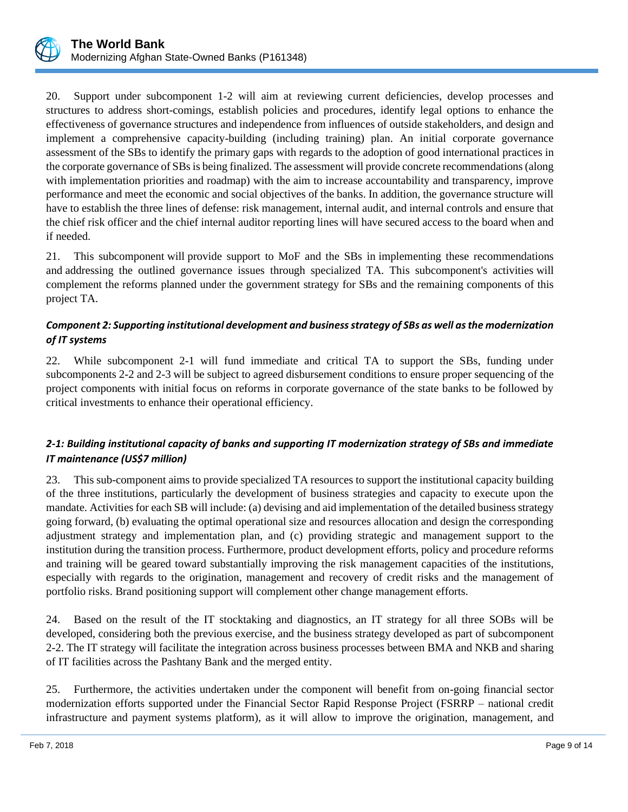

20. Support under subcomponent 1-2 will aim at reviewing current deficiencies, develop processes and structures to address short-comings, establish policies and procedures, identify legal options to enhance the effectiveness of governance structures and independence from influences of outside stakeholders, and design and implement a comprehensive capacity-building (including training) plan. An initial corporate governance assessment of the SBs to identify the primary gaps with regards to the adoption of good international practices in the corporate governance of SBsis being finalized. The assessment will provide concrete recommendations (along with implementation priorities and roadmap) with the aim to increase accountability and transparency, improve performance and meet the economic and social objectives of the banks. In addition, the governance structure will have to establish the three lines of defense: risk management, internal audit, and internal controls and ensure that the chief risk officer and the chief internal auditor reporting lines will have secured access to the board when and if needed.

21. This subcomponent will provide support to MoF and the SBs in implementing these recommendations and addressing the outlined governance issues through specialized TA. This subcomponent's activities will complement the reforms planned under the government strategy for SBs and the remaining components of this project TA.

## *Component 2: Supporting institutional development and business strategy of SBs as well as the modernization of IT systems*

22. While subcomponent 2-1 will fund immediate and critical TA to support the SBs, funding under subcomponents 2-2 and 2-3 will be subject to agreed disbursement conditions to ensure proper sequencing of the project components with initial focus on reforms in corporate governance of the state banks to be followed by critical investments to enhance their operational efficiency.

## *2-1: Building institutional capacity of banks and supporting IT modernization strategy of SBs and immediate IT maintenance (US\$7 million)*

23. This sub-component aims to provide specialized TA resources to support the institutional capacity building of the three institutions, particularly the development of business strategies and capacity to execute upon the mandate. Activities for each SB will include: (a) devising and aid implementation of the detailed business strategy going forward, (b) evaluating the optimal operational size and resources allocation and design the corresponding adjustment strategy and implementation plan, and (c) providing strategic and management support to the institution during the transition process. Furthermore, product development efforts, policy and procedure reforms and training will be geared toward substantially improving the risk management capacities of the institutions, especially with regards to the origination, management and recovery of credit risks and the management of portfolio risks. Brand positioning support will complement other change management efforts.

24. Based on the result of the IT stocktaking and diagnostics, an IT strategy for all three SOBs will be developed, considering both the previous exercise, and the business strategy developed as part of subcomponent 2-2. The IT strategy will facilitate the integration across business processes between BMA and NKB and sharing of IT facilities across the Pashtany Bank and the merged entity.

25. Furthermore, the activities undertaken under the component will benefit from on-going financial sector modernization efforts supported under the Financial Sector Rapid Response Project (FSRRP – national credit infrastructure and payment systems platform), as it will allow to improve the origination, management, and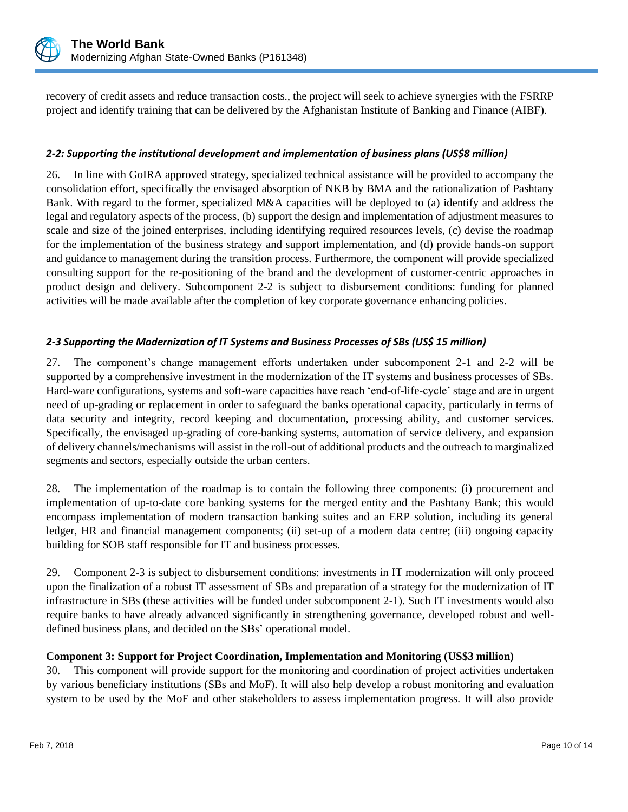

recovery of credit assets and reduce transaction costs., the project will seek to achieve synergies with the FSRRP project and identify training that can be delivered by the Afghanistan Institute of Banking and Finance (AIBF).

## *2-2: Supporting the institutional development and implementation of business plans (US\$8 million)*

26. In line with GoIRA approved strategy, specialized technical assistance will be provided to accompany the consolidation effort, specifically the envisaged absorption of NKB by BMA and the rationalization of Pashtany Bank. With regard to the former, specialized M&A capacities will be deployed to (a) identify and address the legal and regulatory aspects of the process, (b) support the design and implementation of adjustment measures to scale and size of the joined enterprises, including identifying required resources levels, (c) devise the roadmap for the implementation of the business strategy and support implementation, and (d) provide hands-on support and guidance to management during the transition process. Furthermore, the component will provide specialized consulting support for the re-positioning of the brand and the development of customer-centric approaches in product design and delivery. Subcomponent 2-2 is subject to disbursement conditions: funding for planned activities will be made available after the completion of key corporate governance enhancing policies.

## *2-3 Supporting the Modernization of IT Systems and Business Processes of SBs (US\$ 15 million)*

27. The component's change management efforts undertaken under subcomponent 2-1 and 2-2 will be supported by a comprehensive investment in the modernization of the IT systems and business processes of SBs. Hard-ware configurations, systems and soft-ware capacities have reach 'end-of-life-cycle' stage and are in urgent need of up-grading or replacement in order to safeguard the banks operational capacity, particularly in terms of data security and integrity, record keeping and documentation, processing ability, and customer services. Specifically, the envisaged up-grading of core-banking systems, automation of service delivery, and expansion of delivery channels/mechanisms will assist in the roll-out of additional products and the outreach to marginalized segments and sectors, especially outside the urban centers.

28. The implementation of the roadmap is to contain the following three components: (i) procurement and implementation of up-to-date core banking systems for the merged entity and the Pashtany Bank; this would encompass implementation of modern transaction banking suites and an ERP solution, including its general ledger, HR and financial management components; (ii) set-up of a modern data centre; (iii) ongoing capacity building for SOB staff responsible for IT and business processes.

29. Component 2-3 is subject to disbursement conditions: investments in IT modernization will only proceed upon the finalization of a robust IT assessment of SBs and preparation of a strategy for the modernization of IT infrastructure in SBs (these activities will be funded under subcomponent 2-1). Such IT investments would also require banks to have already advanced significantly in strengthening governance, developed robust and welldefined business plans, and decided on the SBs' operational model.

## **Component 3: Support for Project Coordination, Implementation and Monitoring (US\$3 million)**

30. This component will provide support for the monitoring and coordination of project activities undertaken by various beneficiary institutions (SBs and MoF). It will also help develop a robust monitoring and evaluation system to be used by the MoF and other stakeholders to assess implementation progress. It will also provide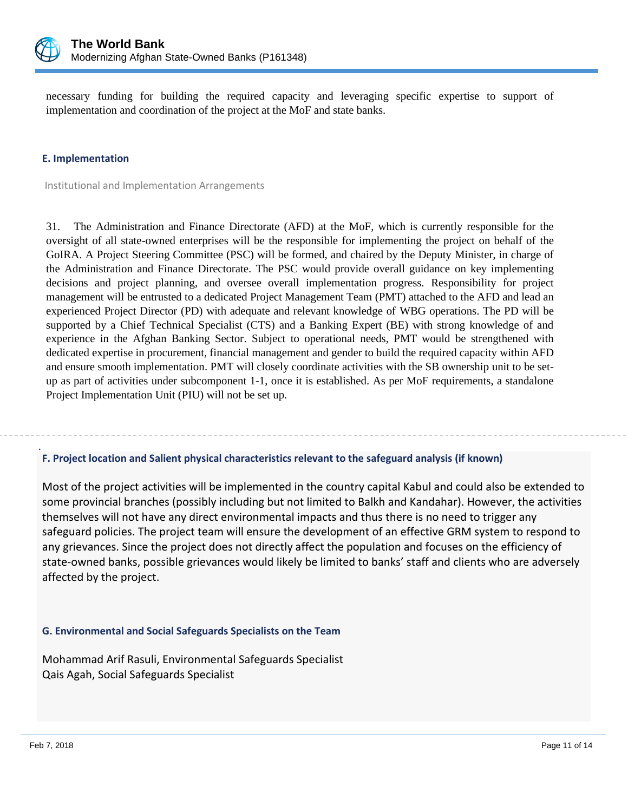

necessary funding for building the required capacity and leveraging specific expertise to support of implementation and coordination of the project at the MoF and state banks.

#### **E. Implementation**

Institutional and Implementation Arrangements

31. The Administration and Finance Directorate (AFD) at the MoF, which is currently responsible for the oversight of all state-owned enterprises will be the responsible for implementing the project on behalf of the GoIRA. A Project Steering Committee (PSC) will be formed, and chaired by the Deputy Minister, in charge of the Administration and Finance Directorate. The PSC would provide overall guidance on key implementing decisions and project planning, and oversee overall implementation progress. Responsibility for project management will be entrusted to a dedicated Project Management Team (PMT) attached to the AFD and lead an experienced Project Director (PD) with adequate and relevant knowledge of WBG operations. The PD will be supported by a Chief Technical Specialist (CTS) and a Banking Expert (BE) with strong knowledge of and experience in the Afghan Banking Sector. Subject to operational needs, PMT would be strengthened with dedicated expertise in procurement, financial management and gender to build the required capacity within AFD and ensure smooth implementation. PMT will closely coordinate activities with the SB ownership unit to be setup as part of activities under subcomponent 1-1, once it is established. As per MoF requirements, a standalone Project Implementation Unit (PIU) will not be set up.

### **F. Project location and Salient physical characteristics relevant to the safeguard analysis (if known)**

Most of the project activities will be implemented in the country capital Kabul and could also be extended to some provincial branches (possibly including but not limited to Balkh and Kandahar). However, the activities themselves will not have any direct environmental impacts and thus there is no need to trigger any safeguard policies. The project team will ensure the development of an effective GRM system to respond to any grievances. Since the project does not directly affect the population and focuses on the efficiency of state-owned banks, possible grievances would likely be limited to banks' staff and clients who are adversely affected by the project.

#### **G. Environmental and Social Safeguards Specialists on the Team**

Mohammad Arif Rasuli, Environmental Safeguards Specialist Qais Agah, Social Safeguards Specialist

.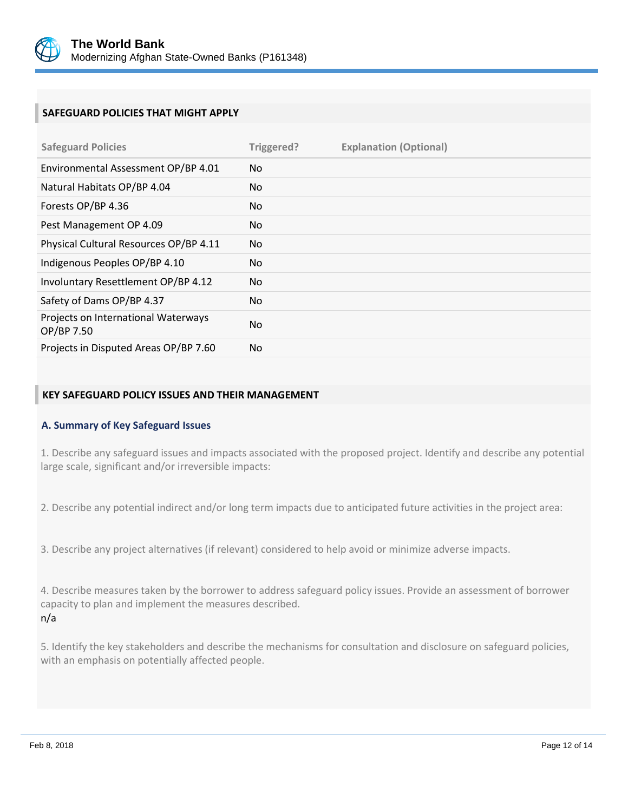

## **SAFEGUARD POLICIES THAT MIGHT APPLY**

| <b>Safeguard Policies</b>                         | Triggered? | <b>Explanation (Optional)</b> |
|---------------------------------------------------|------------|-------------------------------|
| Environmental Assessment OP/BP 4.01               | No.        |                               |
| Natural Habitats OP/BP 4.04                       | No.        |                               |
| Forests OP/BP 4.36                                | No.        |                               |
| Pest Management OP 4.09                           | No.        |                               |
| Physical Cultural Resources OP/BP 4.11            | No.        |                               |
| Indigenous Peoples OP/BP 4.10                     | No.        |                               |
| Involuntary Resettlement OP/BP 4.12               | No         |                               |
| Safety of Dams OP/BP 4.37                         | No.        |                               |
| Projects on International Waterways<br>OP/BP 7.50 | No.        |                               |
| Projects in Disputed Areas OP/BP 7.60             | No.        |                               |

### **KEY SAFEGUARD POLICY ISSUES AND THEIR MANAGEMENT**

#### **A. Summary of Key Safeguard Issues**

1. Describe any safeguard issues and impacts associated with the proposed project. Identify and describe any potential large scale, significant and/or irreversible impacts:

2. Describe any potential indirect and/or long term impacts due to anticipated future activities in the project area:

3. Describe any project alternatives (if relevant) considered to help avoid or minimize adverse impacts.

4. Describe measures taken by the borrower to address safeguard policy issues. Provide an assessment of borrower capacity to plan and implement the measures described. n/a

5. Identify the key stakeholders and describe the mechanisms for consultation and disclosure on safeguard policies, with an emphasis on potentially affected people.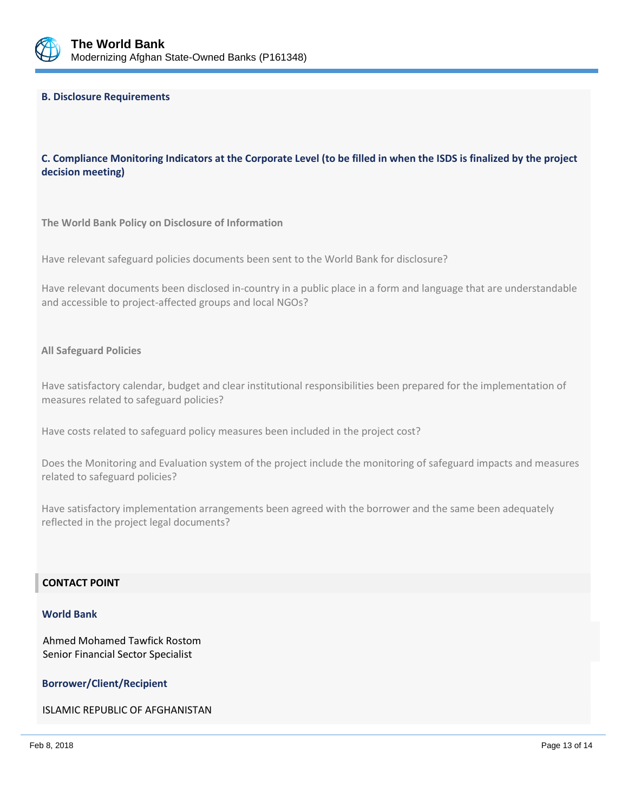

### **B. Disclosure Requirements**

## **C. Compliance Monitoring Indicators at the Corporate Level (to be filled in when the ISDS is finalized by the project decision meeting)**

**The World Bank Policy on Disclosure of Information**

Have relevant safeguard policies documents been sent to the World Bank for disclosure?

Have relevant documents been disclosed in-country in a public place in a form and language that are understandable and accessible to project-affected groups and local NGOs?

#### **All Safeguard Policies**

Have satisfactory calendar, budget and clear institutional responsibilities been prepared for the implementation of measures related to safeguard policies?

Have costs related to safeguard policy measures been included in the project cost?

Does the Monitoring and Evaluation system of the project include the monitoring of safeguard impacts and measures related to safeguard policies?

Have satisfactory implementation arrangements been agreed with the borrower and the same been adequately reflected in the project legal documents?

### **CONTACT POINT**

#### **World Bank**

Ahmed Mohamed Tawfick Rostom Senior Financial Sector Specialist

#### **Borrower/Client/Recipient**

ISLAMIC REPUBLIC OF AFGHANISTAN